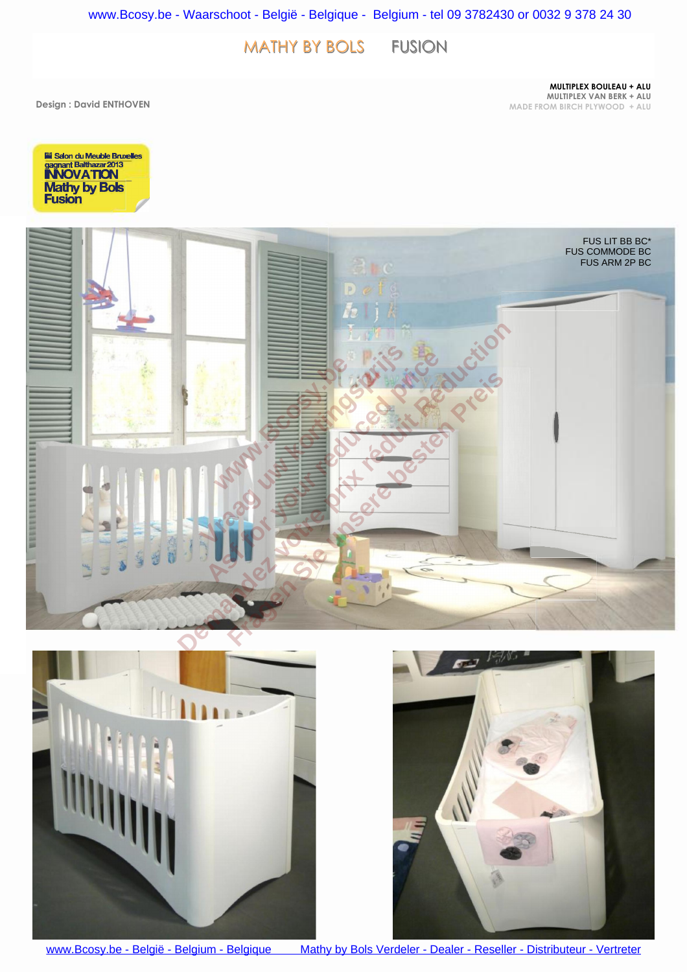## MATHY BY BOLS FUSION

**MULTIPLEX BOULEAU + ALU MULTIPLEX VAN BERK + ALU MADE FROM BIRCH PLYWOOD + ALU**

**Design : David ENTHOVEN**









[www.Bcosy.be - België - Belgium - Belgique Mathy by Bols Verdeler - Dealer - Reseller - Distributeur - Vertreter](https://www.bcosy.be/webshop/merken/mathy-by-bols-kindermeubelen-kinderkamers-katalogus-catalogus-children-kids-bedroom-furniture-meubles-pour-enfants-webshop-boutique-vente-en-ligne-catalogue-baby-kindermoebel-katalog/)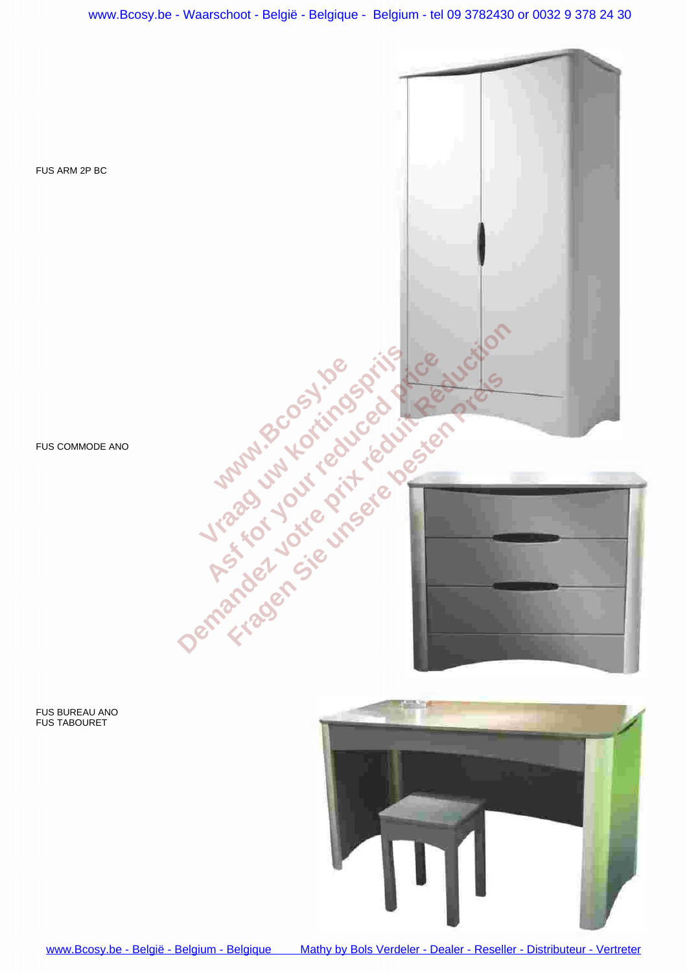

FUS TABOURET

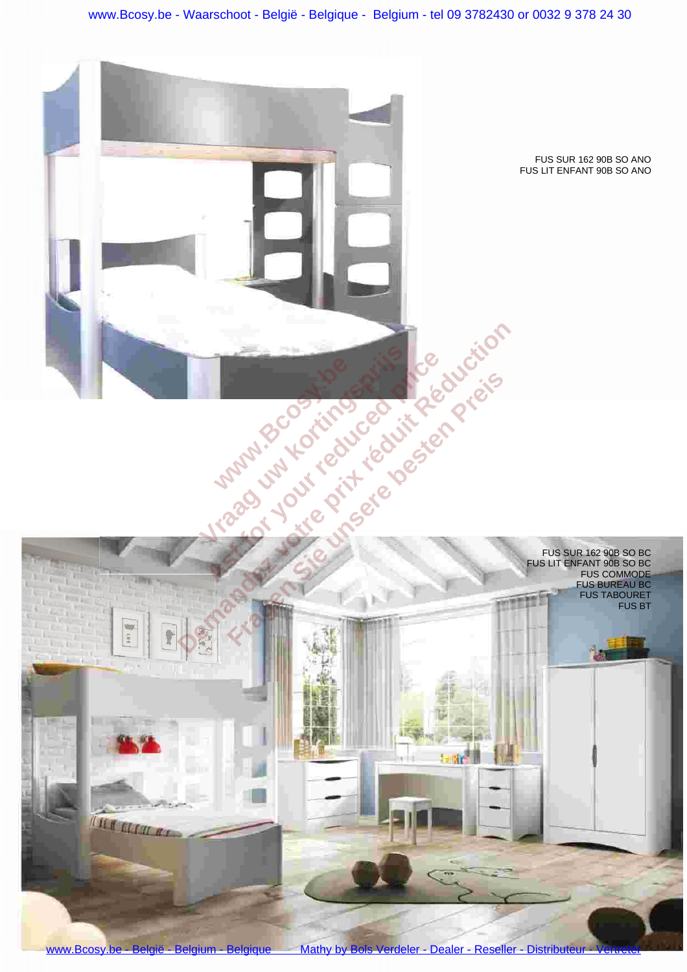

www.Bcosy.be - België - Belgium - Belgique Mathy by Bols Verdeler - Dealer - Reseller - Distributeur